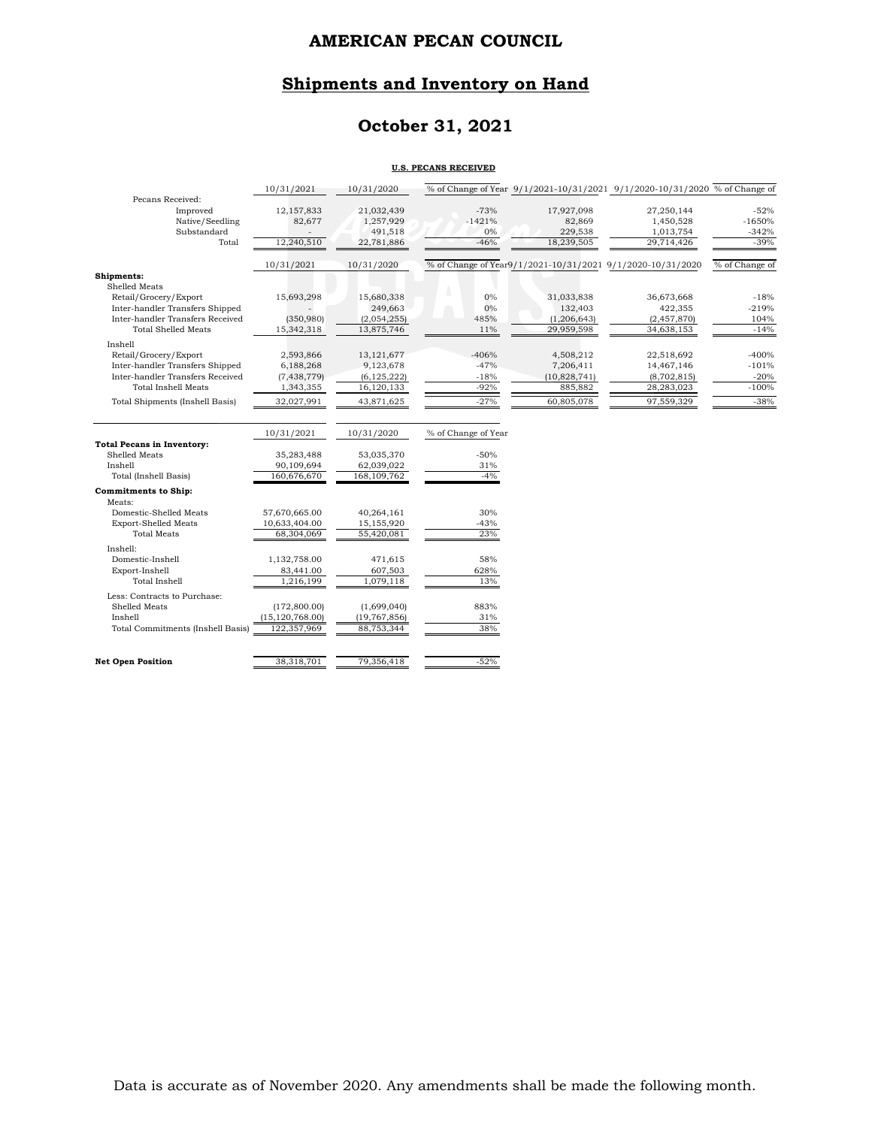# **Shipments and Inventory on Hand**

# **October 31, 2021**

#### **U.S. PECANS RECEIVED**

|                                        | 10/31/2021        | 10/31/2020           |                     |                   | % of Change of Year 9/1/2021-10/31/2021 9/1/2020-10/31/2020 % of Change of |                     |
|----------------------------------------|-------------------|----------------------|---------------------|-------------------|----------------------------------------------------------------------------|---------------------|
| Pecans Received:                       |                   |                      | $-73%$              |                   |                                                                            | $-52%$              |
| Improved<br>Native/Seedling            | 12,157,833        | 21,032,439           | $-1421%$            | 17,927,098        | 27,250,144                                                                 |                     |
| Substandard                            | 82,677            | 1,257,929<br>491,518 | $0\%$               | 82,869<br>229,538 | 1,450,528<br>1,013,754                                                     | $-1650%$<br>$-342%$ |
| Total                                  | 12,240,510        | 22,781,886           | $-46%$              | 18,239,505        | 29,714,426                                                                 | $-39%$              |
|                                        |                   |                      |                     |                   |                                                                            |                     |
|                                        | 10/31/2021        | 10/31/2020           |                     |                   | % of Change of Year9/1/2021-10/31/2021 9/1/2020-10/31/2020                 | % of Change of      |
| Shipments:                             |                   |                      |                     |                   |                                                                            |                     |
| Shelled Meats                          |                   |                      |                     |                   |                                                                            |                     |
| Retail/Grocery/Export                  | 15,693,298        | 15,680,338           | $0\%$               | 31,033,838        | 36,673,668                                                                 | $-18%$              |
| Inter-handler Transfers Shipped        |                   | 249,663              | $0\%$               | 132,403           | 422,355                                                                    | $-219%$             |
| Inter-handler Transfers Received       | (350, 980)        | (2,054,255)          | 485%                | (1, 206, 643)     | (2,457,870)                                                                | 104%                |
| <b>Total Shelled Meats</b>             | 15,342,318        | 13,875,746           | 11%                 | 29,959,598        | 34,638,153                                                                 | $-14%$              |
| Inshell                                |                   |                      |                     |                   |                                                                            |                     |
| Retail/Grocery/Export                  | 2,593,866         | 13, 121, 677         | $-406%$             | 4,508,212         | 22,518,692                                                                 | $-400%$             |
| Inter-handler Transfers Shipped        | 6,188,268         | 9,123,678            | $-47%$              | 7,206,411         | 14,467,146                                                                 | $-101%$             |
| Inter-handler Transfers Received       | (7, 438, 779)     | (6, 125, 222)        | $-18%$              | (10,828,741)      | (8,702,815)                                                                | $-20%$              |
| <b>Total Inshell Meats</b>             | 1,343,355         | 16,120,133           | $-92%$              | 885,882           | 28,283,023                                                                 | $-100%$             |
| <b>Total Shipments (Inshell Basis)</b> | 32,027,991        | 43,871,625           | $-27%$              | 60,805,078        | 97,559,329                                                                 | $-38%$              |
|                                        |                   |                      |                     |                   |                                                                            |                     |
|                                        | 10/31/2021        | 10/31/2020           | % of Change of Year |                   |                                                                            |                     |
| <b>Total Pecans in Inventory:</b>      |                   |                      |                     |                   |                                                                            |                     |
| Shelled Meats                          | 35,283,488        | 53,035,370           | $-50%$              |                   |                                                                            |                     |
| Inshell                                | 90,109,694        | 62,039,022           | 31%                 |                   |                                                                            |                     |
| Total (Inshell Basis)                  | 160,676,670       | 168, 109, 762        | $-4%$               |                   |                                                                            |                     |
| <b>Commitments to Ship:</b>            |                   |                      |                     |                   |                                                                            |                     |
| Meats:                                 |                   |                      |                     |                   |                                                                            |                     |
| Domestic-Shelled Meats                 | 57,670,665.00     | 40,264,161           | 30%                 |                   |                                                                            |                     |
| <b>Export-Shelled Meats</b>            | 10,633,404.00     | 15,155,920           | $-43%$              |                   |                                                                            |                     |
| <b>Total Meats</b>                     | 68,304,069        | 55,420,081           | 23%                 |                   |                                                                            |                     |
| Inshell:                               |                   |                      |                     |                   |                                                                            |                     |
| Domestic-Inshell                       | 1,132,758.00      | 471,615              | 58%                 |                   |                                                                            |                     |
| Export-Inshell                         | 83,441.00         | 607,503              | 628%                |                   |                                                                            |                     |
| <b>Total Inshell</b>                   | 1,216,199         | 1,079,118            | 13%                 |                   |                                                                            |                     |
| Less: Contracts to Purchase:           |                   |                      |                     |                   |                                                                            |                     |
| Shelled Meats                          | (172,800.00)      | (1,699,040)          | 883%                |                   |                                                                            |                     |
| Inshell                                | (15, 120, 768.00) | (19, 767, 856)       | 31%                 |                   |                                                                            |                     |
| Total Commitments (Inshell Basis)      | 122,357,969       | 88,753,344           | 38%                 |                   |                                                                            |                     |
|                                        |                   |                      |                     |                   |                                                                            |                     |
| <b>Net Open Position</b>               | 38,318,701        | 79,356,418           | $-52%$              |                   |                                                                            |                     |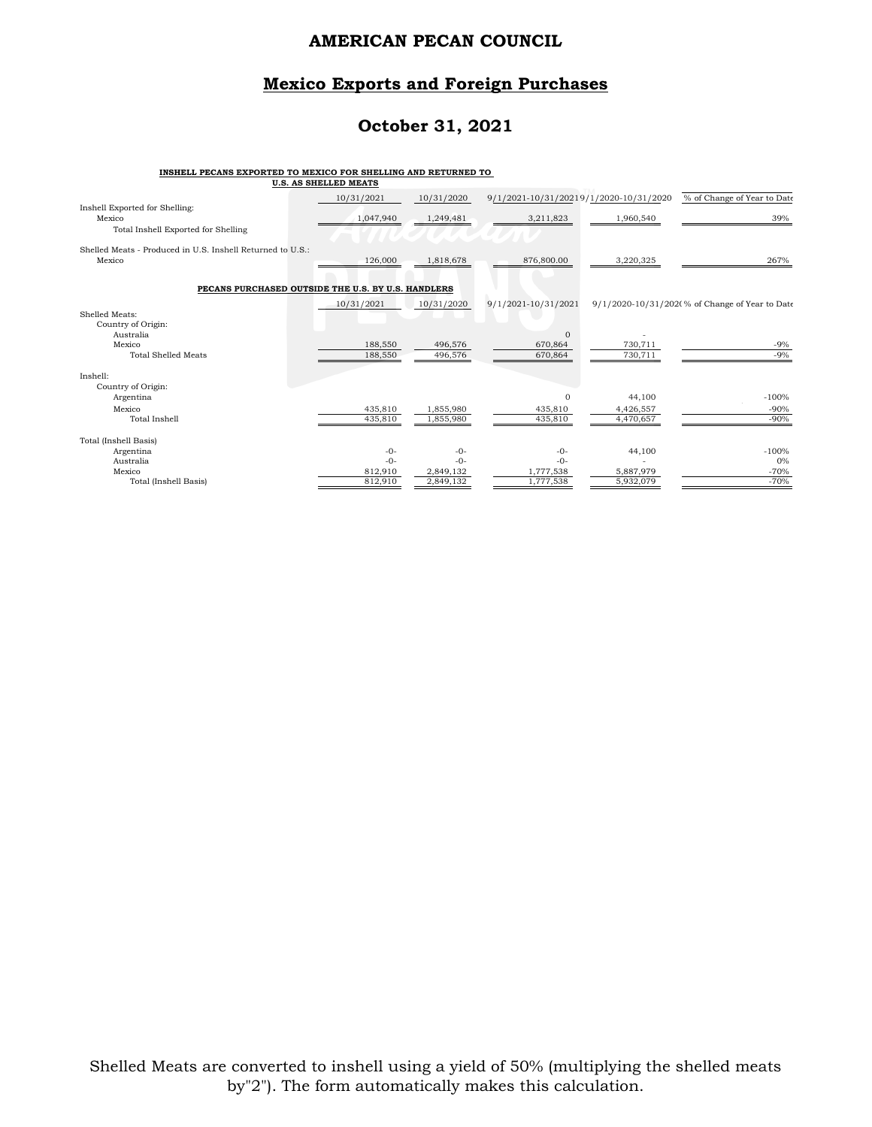### **Mexico Exports and Foreign Purchases**

## **October 31, 2021**

# **INSHELL PECANS EXPORTED TO MEXICO FOR SHELLING AND RETURNED TO U.S. AS SHELLED MEATS**

|                                                                                 | U.S. AS SAELLED MEAIS |                    |                                        |                    |                                                |
|---------------------------------------------------------------------------------|-----------------------|--------------------|----------------------------------------|--------------------|------------------------------------------------|
|                                                                                 | 10/31/2021            | 10/31/2020         | 9/1/2021-10/31/20219/1/2020-10/31/2020 |                    | % of Change of Year to Date                    |
| Inshell Exported for Shelling:<br>Mexico<br>Total Inshell Exported for Shelling | 1,047,940             | 1,249,481          | 3,211,823                              | 1,960,540          | 39%                                            |
| Shelled Meats - Produced in U.S. Inshell Returned to U.S.:<br>Mexico            | 126,000               | 1,818,678          | 876,800.00                             | 3,220,325          | 267%                                           |
| PECANS PURCHASED OUTSIDE THE U.S. BY U.S. HANDLERS                              |                       |                    |                                        |                    |                                                |
| Shelled Meats:<br>Country of Origin:                                            | 10/31/2021            | 10/31/2020         | 9/1/2021-10/31/2021                    |                    | 9/1/2020-10/31/202(% of Change of Year to Date |
| Australia<br>Mexico<br><b>Total Shelled Meats</b>                               | 188,550<br>188,550    | 496,576<br>496,576 | $\Omega$<br>670,864<br>670,864         | 730,711<br>730,711 | $-9%$<br>$-9%$                                 |
| Inshell:<br>Country of Origin:                                                  |                       |                    |                                        |                    |                                                |
| Argentina                                                                       |                       |                    | $\Omega$                               | 44,100             | $-100%$                                        |
| Mexico                                                                          | 435,810               | 1,855,980          | 435,810                                | 4,426,557          | $-90%$                                         |
| <b>Total Inshell</b>                                                            | 435,810               | 1,855,980          | 435,810                                | 4,470,657          | $-90%$                                         |
| Total (Inshell Basis)                                                           |                       |                    |                                        |                    |                                                |
| Argentina                                                                       | $-0-$                 | $-0-$              | $-0-$                                  | 44,100             | $-100%$                                        |
| Australia                                                                       | $-0-$                 | $-0-$              | $-0-$                                  |                    | 0%                                             |
| Mexico                                                                          | 812,910               | 2,849,132          | 1,777,538                              | 5,887,979          | $-70%$                                         |
| Total (Inshell Basis)                                                           | 812,910               | 2,849,132          | 1,777,538                              | 5,932,079          | $-70%$                                         |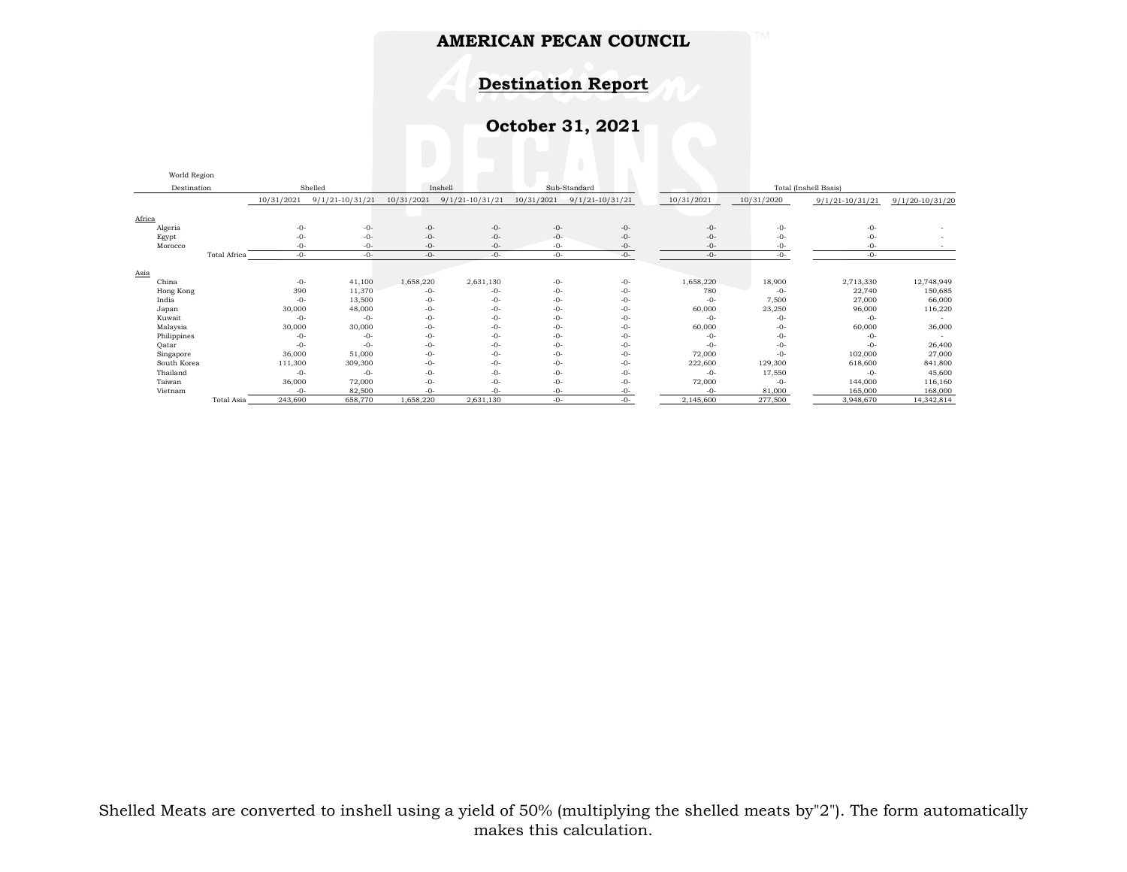**Destination Report**

**October 31, 2021**

|             | World Region           |            |                         |            |                   |            |                     |                       |            |                     |                     |  |
|-------------|------------------------|------------|-------------------------|------------|-------------------|------------|---------------------|-----------------------|------------|---------------------|---------------------|--|
|             | Shelled<br>Destination |            | Sub-Standard<br>Inshell |            |                   |            |                     | Total (Inshell Basis) |            |                     |                     |  |
|             |                        | 10/31/2021 | $9/1/21 - 10/31/21$     | 10/31/2021 | $9/1/21-10/31/21$ | 10/31/2021 | $9/1/21 - 10/31/21$ | 10/31/2021            | 10/31/2020 | $9/1/21 - 10/31/21$ | $9/1/20 - 10/31/20$ |  |
| Africa      |                        |            |                         |            |                   |            |                     |                       |            |                     |                     |  |
| Algeria     |                        | $-0-$      | $-0-$                   | $-0-$      | $-0-$             | $-0-$      | $-0-$               | $-0-$                 | $-0-$      | $-0-$               |                     |  |
| Egypt       |                        | $-()$ -    | $-0-$                   | $-0-$      | $-0-$             | $-0-$      | $-0-$               | $-0-$                 | $-0-$      | $-0-$               |                     |  |
| Morocco     |                        | $-0-$      | -0-                     | $-0-$      | $-0-$             | $-0-$      | $-0-$               | $-0-$                 | $-0-$      | -0-                 |                     |  |
|             | Total Africa           | $-0-$      | $-0-$                   | $-0-$      | $-0-$             | $-0-$      | $-0-$               | $-0-$                 | $-0-$      | $-0-$               |                     |  |
| Asia        |                        |            |                         |            |                   |            |                     |                       |            |                     |                     |  |
| China       |                        | $-0-$      | 41,100                  | 1,658,220  | 2,631,130         | $-0-$      | $-0-$               | 1,658,220             | 18,900     | 2,713,330           | 12,748,949          |  |
| Hong Kong   |                        | 390        | 11,370                  | $-0-$      | -0-               | $-0-$      | $-0-$               | 780                   | $-0-$      | 22,740              | 150,685             |  |
| India       |                        | $-0-$      | 13,500                  | $-0-$      | -0-               | $-0-$      | $-0-$               | $-0-$                 | 7,500      | 27,000              | 66,000              |  |
| Japan       |                        | 30,000     | 48,000                  | $-0-$      | $-0-$             | $-0-$      | $-0-$               | 60,000                | 23,250     | 96,000              | 116,220             |  |
| Kuwait      |                        | $-0-$      | $-0-$                   | $-0-$      | $-0-$             | $-0-$      | $-0-$               | $-0-$                 | $-0-$      | $-0-$               |                     |  |
| Malaysia    |                        | 30,000     | 30,000                  | $-0-$      | $-0-$             | $-0-$      | $-0-$               | 60,000                | $-0-$      | 60,000              | 36,000              |  |
| Philippines |                        | $-0-$      | $-0-$                   | $-0-$      | $-0-$             | $-0-$      | $-0-$               | -0-                   | $-0-$      | -0-                 |                     |  |
| Qatar       |                        | $-0-$      | $-0-$                   | $-0-$      | $-0-$             | $-0-$      | $-0-$               | $-0-$                 | $-0-$      | $-0-$               | 26,400              |  |
| Singapore   |                        | 36,000     | 51,000                  | $-0-$      | $-0-$             | $-0-$      | $-0-$               | 72,000                | $-0-$      | 102,000             | 27,000              |  |
| South Korea |                        | 111,300    | 309,300                 | $-0-$      | $-0-$             | $-0-$      | $-0-$               | 222,600               | 129,300    | 618,600             | 841,800             |  |
| Thailand    |                        | $-0-$      | $-0-$                   | $-0-$      | $-0-$             | $-0-$      | $-0-$               | $-0-$                 | 17,550     | $-0-$               | 45,600              |  |
| Taiwan      |                        | 36,000     | 72,000                  | $-0-$      | $-0-$             | $-0-$      | $-0-$               | 72,000                | $-0-$      | 144,000             | 116,160             |  |
| Vietnam     |                        | $-0-$      | 82,500                  | $-0-$      | $-0-$             | $-0-$      | $-0-$               | -0-                   | 81,000     | 165,000             | 168,000             |  |
|             | Total Asia             | 243,690    | 658,770                 | 1,658,220  | 2,631,130         | $-0-$      | $-0-$               | 2,145,600             | 277,500    | 3,948,670           | 14,342,814          |  |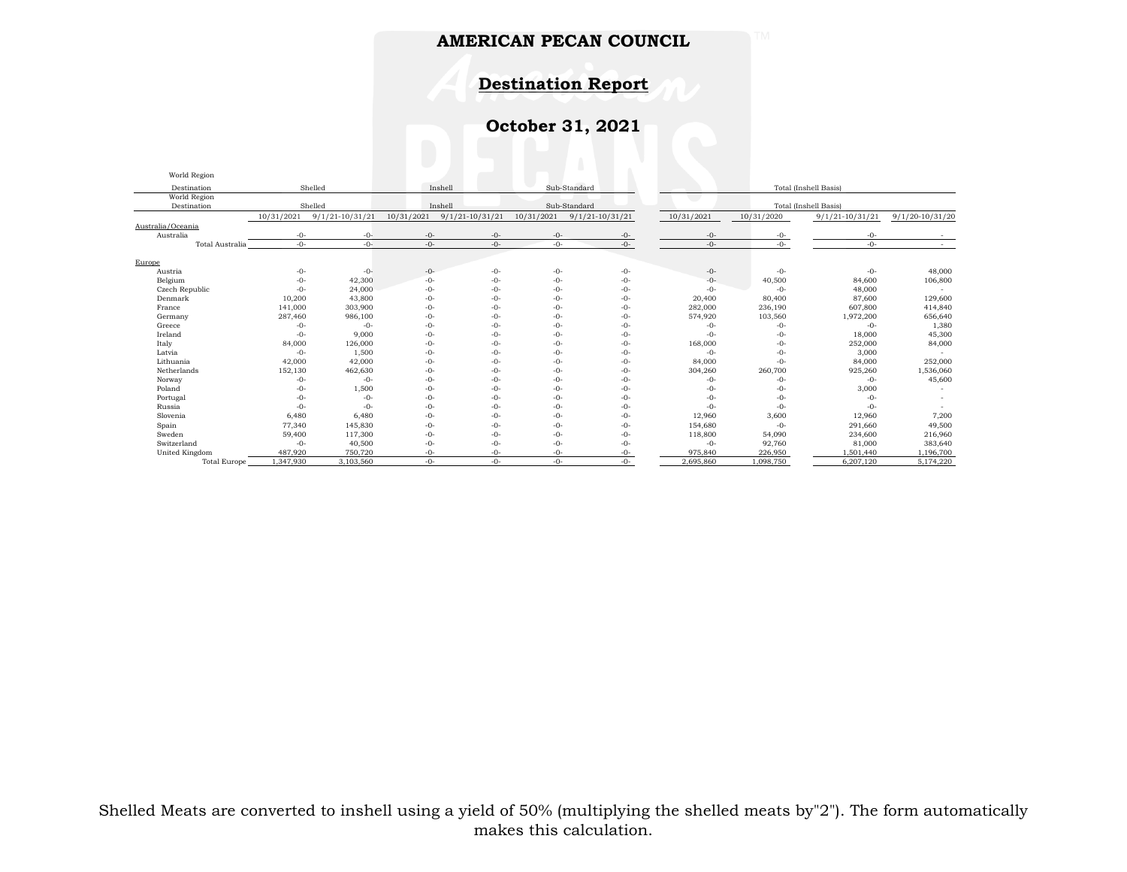# **Destination Report**

# **October 31, 2021**

World Region Region

| Sub-Standard<br>Shelled<br>Destination<br>Inshell<br>Total (Inshell Basis)<br>World Region<br>Shelled<br>Inshell<br>Sub-Standard<br>Total (Inshell Basis)<br>Destination<br>10/31/2021<br>$9/1/21 - 10/31/21$<br>$9/1/21 - 10/31/21$<br>10/31/2021<br>$9/1/21-10/31/21$<br>10/31/2021<br>10/31/2021<br>10/31/2020<br>$9/1/21 - 10/31/21$<br>9/1/20-10/31/20<br>Australia<br>$-0-$<br>$-0-$<br>$-0-$<br>$-0-$<br>$-()$ -<br>$-0-$<br>$-0-$<br>$-0-$<br>-0-<br>$-0-$<br>$-0-$<br>Total Australia<br>$-0-$<br>$-0-$<br>$-0-$<br>$-0-$<br>$-0-$<br>$-0-$<br>$-0-$<br>$\sim$<br>Europe<br>$-0-$<br>$-0-$<br>$-0-$<br>$-0-$<br>48,000<br>$-0-$<br>$-0-$<br>$-0-$<br>$-0-$<br>Austria<br>$-0-$<br>Belgium<br>$-0-$<br>$-0-$<br>40,500<br>84,600<br>42,300<br>$-0-$<br>$-0-$<br>$-0-$<br>106,800<br>$-()$ -<br>Czech Republic<br>24,000<br>48,000<br>$-0-$<br>$-0-$<br>$-0-$<br>$-0-$<br>$-0-$<br>$-0-$<br>$-0-$<br>10,200<br>43,800<br>$-0-$<br>$-0-$<br>20,400<br>80,400<br>87,600<br>129,600<br>Denmark<br>$-0-$<br>$-0-$<br>141,000<br>303,900<br>$-0-$<br>$-0-$<br>282,000<br>236,190<br>607,800<br>414,840<br>France<br>$-0-$<br>$-()$ -<br>287,460<br>986,100<br>$-0-$<br>$-0-$<br>574,920<br>103,560<br>1,972,200<br>656,640<br>$-0-$<br>$-0-$<br>Germany<br>1,380<br>$-0-$<br>$-0-$<br>$-0-$<br>$-0-$<br>$-0-$<br>Greece<br>$-0-$<br>$-0-$<br>$-0-$<br>$-0-$<br>Ireland<br>9,000<br>$-0-$<br>$-0-$<br>18,000<br>45,300<br>$-0-$<br>$-0-$<br>$-()$ -<br>$-0-$<br>$-0-$<br>168,000<br>84,000<br>Italy<br>84,000<br>126,000<br>$-0-$<br>$-0-$<br>$-0-$<br>$-0-$<br>252,000<br>$-0-$<br>Latvia<br>1,500<br>$-0-$<br>$-0-$<br>$-0-$<br>$-0-$<br>3,000<br>$-0-$<br>$-0-$<br>$-0-$<br>Lithuania<br>42,000<br>42,000<br>$-0-$<br>$-0-$<br>84,000<br>$-0-$<br>84,000<br>252,000<br>$-0-$<br>$-0-$<br>$-0-$<br>304,260<br>260,700<br>925,260<br>1,536,060<br>Netherlands<br>152,130<br>462,630<br>$-0-$<br>$-0-$<br>$-0-$<br>45,600<br>$-0-$<br>$-0-$<br>$-0-$<br>$-0-$<br>$-0-$<br>$-0-$<br>$-0-$<br>$-0-$<br>$-0-$<br>Norway<br>1,500<br>$-0-$<br>$-0-$<br>3,000<br>Poland<br>$-0-$<br>$-0-$<br>$-0-$<br>$-0-$<br>$-0-$<br>$-0-$<br>$-0-$<br>$-0-$<br>$-0-$<br>$-0-$<br>Portugal<br>$-0-$<br>$-0-$<br>$-()$ -<br>$-0-$<br>Russia<br>$-0-$<br>$-0-$<br>$-0-$<br>$-0-$<br>$-0-$<br>$-0-$<br>$-0-$<br>$-0-$<br>$-0-$<br>$-0-$<br>$-0-$<br>12,960<br>3,600<br>7,200<br>Slovenia<br>6,480<br>6,480<br>12,960<br>$-0-$<br>$-0-$<br>Spain<br>77,340<br>$-0-$<br>$-0-$<br>154,680<br>291,660<br>49,500<br>145,830<br>$-()$ -<br>$-0-$<br>$-()$ -<br>Sweden<br>216,960<br>59,400<br>117,300<br>$-0-$<br>$-0-$<br>$-0-$<br>$-0-$<br>118,800<br>54,090<br>234,600<br>40,500<br>$-0-$<br>92,760<br>Switzerland<br>$-0-$<br>$-0-$<br>$-0-$<br>$-0-$<br>81,000<br>383,640<br>$-0-$<br>United Kingdom<br>487,920<br>750,720<br>975,840<br>1,501,440<br>$-0-$<br>226,950<br>1,196,700<br>$-0-$<br>$-0-$<br>$-0-$<br>1,098,750<br>6,207,120<br>5,174,220<br>.347,930<br>3,103,560<br>$-()$ -<br>2.695.860<br><b>Total Europe</b><br>$-0-$<br>$-()$ -<br>$-()$ - | world Region      |  |  |  |  |  |  |  |  |
|-----------------------------------------------------------------------------------------------------------------------------------------------------------------------------------------------------------------------------------------------------------------------------------------------------------------------------------------------------------------------------------------------------------------------------------------------------------------------------------------------------------------------------------------------------------------------------------------------------------------------------------------------------------------------------------------------------------------------------------------------------------------------------------------------------------------------------------------------------------------------------------------------------------------------------------------------------------------------------------------------------------------------------------------------------------------------------------------------------------------------------------------------------------------------------------------------------------------------------------------------------------------------------------------------------------------------------------------------------------------------------------------------------------------------------------------------------------------------------------------------------------------------------------------------------------------------------------------------------------------------------------------------------------------------------------------------------------------------------------------------------------------------------------------------------------------------------------------------------------------------------------------------------------------------------------------------------------------------------------------------------------------------------------------------------------------------------------------------------------------------------------------------------------------------------------------------------------------------------------------------------------------------------------------------------------------------------------------------------------------------------------------------------------------------------------------------------------------------------------------------------------------------------------------------------------------------------------------------------------------------------------------------------------------------------------------------------------------------------------------------------------------------------------------------------------------------------------------------------------------------------------------------------------------------------------------------------------------------------------------------------------------------------------------|-------------------|--|--|--|--|--|--|--|--|
|                                                                                                                                                                                                                                                                                                                                                                                                                                                                                                                                                                                                                                                                                                                                                                                                                                                                                                                                                                                                                                                                                                                                                                                                                                                                                                                                                                                                                                                                                                                                                                                                                                                                                                                                                                                                                                                                                                                                                                                                                                                                                                                                                                                                                                                                                                                                                                                                                                                                                                                                                                                                                                                                                                                                                                                                                                                                                                                                                                                                                                         |                   |  |  |  |  |  |  |  |  |
|                                                                                                                                                                                                                                                                                                                                                                                                                                                                                                                                                                                                                                                                                                                                                                                                                                                                                                                                                                                                                                                                                                                                                                                                                                                                                                                                                                                                                                                                                                                                                                                                                                                                                                                                                                                                                                                                                                                                                                                                                                                                                                                                                                                                                                                                                                                                                                                                                                                                                                                                                                                                                                                                                                                                                                                                                                                                                                                                                                                                                                         |                   |  |  |  |  |  |  |  |  |
|                                                                                                                                                                                                                                                                                                                                                                                                                                                                                                                                                                                                                                                                                                                                                                                                                                                                                                                                                                                                                                                                                                                                                                                                                                                                                                                                                                                                                                                                                                                                                                                                                                                                                                                                                                                                                                                                                                                                                                                                                                                                                                                                                                                                                                                                                                                                                                                                                                                                                                                                                                                                                                                                                                                                                                                                                                                                                                                                                                                                                                         |                   |  |  |  |  |  |  |  |  |
|                                                                                                                                                                                                                                                                                                                                                                                                                                                                                                                                                                                                                                                                                                                                                                                                                                                                                                                                                                                                                                                                                                                                                                                                                                                                                                                                                                                                                                                                                                                                                                                                                                                                                                                                                                                                                                                                                                                                                                                                                                                                                                                                                                                                                                                                                                                                                                                                                                                                                                                                                                                                                                                                                                                                                                                                                                                                                                                                                                                                                                         |                   |  |  |  |  |  |  |  |  |
|                                                                                                                                                                                                                                                                                                                                                                                                                                                                                                                                                                                                                                                                                                                                                                                                                                                                                                                                                                                                                                                                                                                                                                                                                                                                                                                                                                                                                                                                                                                                                                                                                                                                                                                                                                                                                                                                                                                                                                                                                                                                                                                                                                                                                                                                                                                                                                                                                                                                                                                                                                                                                                                                                                                                                                                                                                                                                                                                                                                                                                         | Australia/Oceania |  |  |  |  |  |  |  |  |
|                                                                                                                                                                                                                                                                                                                                                                                                                                                                                                                                                                                                                                                                                                                                                                                                                                                                                                                                                                                                                                                                                                                                                                                                                                                                                                                                                                                                                                                                                                                                                                                                                                                                                                                                                                                                                                                                                                                                                                                                                                                                                                                                                                                                                                                                                                                                                                                                                                                                                                                                                                                                                                                                                                                                                                                                                                                                                                                                                                                                                                         |                   |  |  |  |  |  |  |  |  |
|                                                                                                                                                                                                                                                                                                                                                                                                                                                                                                                                                                                                                                                                                                                                                                                                                                                                                                                                                                                                                                                                                                                                                                                                                                                                                                                                                                                                                                                                                                                                                                                                                                                                                                                                                                                                                                                                                                                                                                                                                                                                                                                                                                                                                                                                                                                                                                                                                                                                                                                                                                                                                                                                                                                                                                                                                                                                                                                                                                                                                                         |                   |  |  |  |  |  |  |  |  |
|                                                                                                                                                                                                                                                                                                                                                                                                                                                                                                                                                                                                                                                                                                                                                                                                                                                                                                                                                                                                                                                                                                                                                                                                                                                                                                                                                                                                                                                                                                                                                                                                                                                                                                                                                                                                                                                                                                                                                                                                                                                                                                                                                                                                                                                                                                                                                                                                                                                                                                                                                                                                                                                                                                                                                                                                                                                                                                                                                                                                                                         |                   |  |  |  |  |  |  |  |  |
|                                                                                                                                                                                                                                                                                                                                                                                                                                                                                                                                                                                                                                                                                                                                                                                                                                                                                                                                                                                                                                                                                                                                                                                                                                                                                                                                                                                                                                                                                                                                                                                                                                                                                                                                                                                                                                                                                                                                                                                                                                                                                                                                                                                                                                                                                                                                                                                                                                                                                                                                                                                                                                                                                                                                                                                                                                                                                                                                                                                                                                         |                   |  |  |  |  |  |  |  |  |
|                                                                                                                                                                                                                                                                                                                                                                                                                                                                                                                                                                                                                                                                                                                                                                                                                                                                                                                                                                                                                                                                                                                                                                                                                                                                                                                                                                                                                                                                                                                                                                                                                                                                                                                                                                                                                                                                                                                                                                                                                                                                                                                                                                                                                                                                                                                                                                                                                                                                                                                                                                                                                                                                                                                                                                                                                                                                                                                                                                                                                                         |                   |  |  |  |  |  |  |  |  |
|                                                                                                                                                                                                                                                                                                                                                                                                                                                                                                                                                                                                                                                                                                                                                                                                                                                                                                                                                                                                                                                                                                                                                                                                                                                                                                                                                                                                                                                                                                                                                                                                                                                                                                                                                                                                                                                                                                                                                                                                                                                                                                                                                                                                                                                                                                                                                                                                                                                                                                                                                                                                                                                                                                                                                                                                                                                                                                                                                                                                                                         |                   |  |  |  |  |  |  |  |  |
|                                                                                                                                                                                                                                                                                                                                                                                                                                                                                                                                                                                                                                                                                                                                                                                                                                                                                                                                                                                                                                                                                                                                                                                                                                                                                                                                                                                                                                                                                                                                                                                                                                                                                                                                                                                                                                                                                                                                                                                                                                                                                                                                                                                                                                                                                                                                                                                                                                                                                                                                                                                                                                                                                                                                                                                                                                                                                                                                                                                                                                         |                   |  |  |  |  |  |  |  |  |
|                                                                                                                                                                                                                                                                                                                                                                                                                                                                                                                                                                                                                                                                                                                                                                                                                                                                                                                                                                                                                                                                                                                                                                                                                                                                                                                                                                                                                                                                                                                                                                                                                                                                                                                                                                                                                                                                                                                                                                                                                                                                                                                                                                                                                                                                                                                                                                                                                                                                                                                                                                                                                                                                                                                                                                                                                                                                                                                                                                                                                                         |                   |  |  |  |  |  |  |  |  |
|                                                                                                                                                                                                                                                                                                                                                                                                                                                                                                                                                                                                                                                                                                                                                                                                                                                                                                                                                                                                                                                                                                                                                                                                                                                                                                                                                                                                                                                                                                                                                                                                                                                                                                                                                                                                                                                                                                                                                                                                                                                                                                                                                                                                                                                                                                                                                                                                                                                                                                                                                                                                                                                                                                                                                                                                                                                                                                                                                                                                                                         |                   |  |  |  |  |  |  |  |  |
|                                                                                                                                                                                                                                                                                                                                                                                                                                                                                                                                                                                                                                                                                                                                                                                                                                                                                                                                                                                                                                                                                                                                                                                                                                                                                                                                                                                                                                                                                                                                                                                                                                                                                                                                                                                                                                                                                                                                                                                                                                                                                                                                                                                                                                                                                                                                                                                                                                                                                                                                                                                                                                                                                                                                                                                                                                                                                                                                                                                                                                         |                   |  |  |  |  |  |  |  |  |
|                                                                                                                                                                                                                                                                                                                                                                                                                                                                                                                                                                                                                                                                                                                                                                                                                                                                                                                                                                                                                                                                                                                                                                                                                                                                                                                                                                                                                                                                                                                                                                                                                                                                                                                                                                                                                                                                                                                                                                                                                                                                                                                                                                                                                                                                                                                                                                                                                                                                                                                                                                                                                                                                                                                                                                                                                                                                                                                                                                                                                                         |                   |  |  |  |  |  |  |  |  |
|                                                                                                                                                                                                                                                                                                                                                                                                                                                                                                                                                                                                                                                                                                                                                                                                                                                                                                                                                                                                                                                                                                                                                                                                                                                                                                                                                                                                                                                                                                                                                                                                                                                                                                                                                                                                                                                                                                                                                                                                                                                                                                                                                                                                                                                                                                                                                                                                                                                                                                                                                                                                                                                                                                                                                                                                                                                                                                                                                                                                                                         |                   |  |  |  |  |  |  |  |  |
|                                                                                                                                                                                                                                                                                                                                                                                                                                                                                                                                                                                                                                                                                                                                                                                                                                                                                                                                                                                                                                                                                                                                                                                                                                                                                                                                                                                                                                                                                                                                                                                                                                                                                                                                                                                                                                                                                                                                                                                                                                                                                                                                                                                                                                                                                                                                                                                                                                                                                                                                                                                                                                                                                                                                                                                                                                                                                                                                                                                                                                         |                   |  |  |  |  |  |  |  |  |
|                                                                                                                                                                                                                                                                                                                                                                                                                                                                                                                                                                                                                                                                                                                                                                                                                                                                                                                                                                                                                                                                                                                                                                                                                                                                                                                                                                                                                                                                                                                                                                                                                                                                                                                                                                                                                                                                                                                                                                                                                                                                                                                                                                                                                                                                                                                                                                                                                                                                                                                                                                                                                                                                                                                                                                                                                                                                                                                                                                                                                                         |                   |  |  |  |  |  |  |  |  |
|                                                                                                                                                                                                                                                                                                                                                                                                                                                                                                                                                                                                                                                                                                                                                                                                                                                                                                                                                                                                                                                                                                                                                                                                                                                                                                                                                                                                                                                                                                                                                                                                                                                                                                                                                                                                                                                                                                                                                                                                                                                                                                                                                                                                                                                                                                                                                                                                                                                                                                                                                                                                                                                                                                                                                                                                                                                                                                                                                                                                                                         |                   |  |  |  |  |  |  |  |  |
|                                                                                                                                                                                                                                                                                                                                                                                                                                                                                                                                                                                                                                                                                                                                                                                                                                                                                                                                                                                                                                                                                                                                                                                                                                                                                                                                                                                                                                                                                                                                                                                                                                                                                                                                                                                                                                                                                                                                                                                                                                                                                                                                                                                                                                                                                                                                                                                                                                                                                                                                                                                                                                                                                                                                                                                                                                                                                                                                                                                                                                         |                   |  |  |  |  |  |  |  |  |
|                                                                                                                                                                                                                                                                                                                                                                                                                                                                                                                                                                                                                                                                                                                                                                                                                                                                                                                                                                                                                                                                                                                                                                                                                                                                                                                                                                                                                                                                                                                                                                                                                                                                                                                                                                                                                                                                                                                                                                                                                                                                                                                                                                                                                                                                                                                                                                                                                                                                                                                                                                                                                                                                                                                                                                                                                                                                                                                                                                                                                                         |                   |  |  |  |  |  |  |  |  |
|                                                                                                                                                                                                                                                                                                                                                                                                                                                                                                                                                                                                                                                                                                                                                                                                                                                                                                                                                                                                                                                                                                                                                                                                                                                                                                                                                                                                                                                                                                                                                                                                                                                                                                                                                                                                                                                                                                                                                                                                                                                                                                                                                                                                                                                                                                                                                                                                                                                                                                                                                                                                                                                                                                                                                                                                                                                                                                                                                                                                                                         |                   |  |  |  |  |  |  |  |  |
|                                                                                                                                                                                                                                                                                                                                                                                                                                                                                                                                                                                                                                                                                                                                                                                                                                                                                                                                                                                                                                                                                                                                                                                                                                                                                                                                                                                                                                                                                                                                                                                                                                                                                                                                                                                                                                                                                                                                                                                                                                                                                                                                                                                                                                                                                                                                                                                                                                                                                                                                                                                                                                                                                                                                                                                                                                                                                                                                                                                                                                         |                   |  |  |  |  |  |  |  |  |
|                                                                                                                                                                                                                                                                                                                                                                                                                                                                                                                                                                                                                                                                                                                                                                                                                                                                                                                                                                                                                                                                                                                                                                                                                                                                                                                                                                                                                                                                                                                                                                                                                                                                                                                                                                                                                                                                                                                                                                                                                                                                                                                                                                                                                                                                                                                                                                                                                                                                                                                                                                                                                                                                                                                                                                                                                                                                                                                                                                                                                                         |                   |  |  |  |  |  |  |  |  |
|                                                                                                                                                                                                                                                                                                                                                                                                                                                                                                                                                                                                                                                                                                                                                                                                                                                                                                                                                                                                                                                                                                                                                                                                                                                                                                                                                                                                                                                                                                                                                                                                                                                                                                                                                                                                                                                                                                                                                                                                                                                                                                                                                                                                                                                                                                                                                                                                                                                                                                                                                                                                                                                                                                                                                                                                                                                                                                                                                                                                                                         |                   |  |  |  |  |  |  |  |  |
|                                                                                                                                                                                                                                                                                                                                                                                                                                                                                                                                                                                                                                                                                                                                                                                                                                                                                                                                                                                                                                                                                                                                                                                                                                                                                                                                                                                                                                                                                                                                                                                                                                                                                                                                                                                                                                                                                                                                                                                                                                                                                                                                                                                                                                                                                                                                                                                                                                                                                                                                                                                                                                                                                                                                                                                                                                                                                                                                                                                                                                         |                   |  |  |  |  |  |  |  |  |
|                                                                                                                                                                                                                                                                                                                                                                                                                                                                                                                                                                                                                                                                                                                                                                                                                                                                                                                                                                                                                                                                                                                                                                                                                                                                                                                                                                                                                                                                                                                                                                                                                                                                                                                                                                                                                                                                                                                                                                                                                                                                                                                                                                                                                                                                                                                                                                                                                                                                                                                                                                                                                                                                                                                                                                                                                                                                                                                                                                                                                                         |                   |  |  |  |  |  |  |  |  |
|                                                                                                                                                                                                                                                                                                                                                                                                                                                                                                                                                                                                                                                                                                                                                                                                                                                                                                                                                                                                                                                                                                                                                                                                                                                                                                                                                                                                                                                                                                                                                                                                                                                                                                                                                                                                                                                                                                                                                                                                                                                                                                                                                                                                                                                                                                                                                                                                                                                                                                                                                                                                                                                                                                                                                                                                                                                                                                                                                                                                                                         |                   |  |  |  |  |  |  |  |  |
|                                                                                                                                                                                                                                                                                                                                                                                                                                                                                                                                                                                                                                                                                                                                                                                                                                                                                                                                                                                                                                                                                                                                                                                                                                                                                                                                                                                                                                                                                                                                                                                                                                                                                                                                                                                                                                                                                                                                                                                                                                                                                                                                                                                                                                                                                                                                                                                                                                                                                                                                                                                                                                                                                                                                                                                                                                                                                                                                                                                                                                         |                   |  |  |  |  |  |  |  |  |
|                                                                                                                                                                                                                                                                                                                                                                                                                                                                                                                                                                                                                                                                                                                                                                                                                                                                                                                                                                                                                                                                                                                                                                                                                                                                                                                                                                                                                                                                                                                                                                                                                                                                                                                                                                                                                                                                                                                                                                                                                                                                                                                                                                                                                                                                                                                                                                                                                                                                                                                                                                                                                                                                                                                                                                                                                                                                                                                                                                                                                                         |                   |  |  |  |  |  |  |  |  |